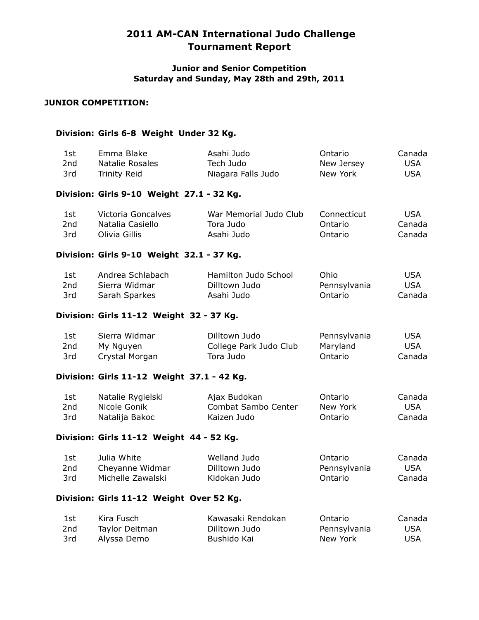### **Junior and Senior Competition Saturday and Sunday, May 28th and 29th, 2011**

### **JUNIOR COMPETITION:**

#### **Division: Girls 6-8 Weight Under 32 Kg.**

| 1st | Emma Blake      | Asahi Judo         | Ontario    | Canada |
|-----|-----------------|--------------------|------------|--------|
| 2nd | Natalie Rosales | Tech Judo          | New Jersey | USA    |
| 3rd | Trinity Reid    | Niagara Falls Judo | New York   | USA    |
|     |                 |                    |            |        |

## **Division: Girls 9-10 Weight 27.1 - 32 Kg.**

| 1st | Victoria Goncalves | War Memorial Judo Club | Connecticut | USA    |
|-----|--------------------|------------------------|-------------|--------|
| 2nd | Natalia Casiello   | Tora Judo              | Ontario     | Canada |
| 3rd | Olivia Gillis      | Asahi Judo             | Ontario     | Canada |

### **Division: Girls 9-10 Weight 32.1 - 37 Kg.**

| 1st. | Andrea Schlabach | Hamilton Judo School | Ohio         | USA        |
|------|------------------|----------------------|--------------|------------|
| 2nd  | Sierra Widmar    | Dilltown Judo        | Pennsylvania | <b>USA</b> |
| 3rd  | Sarah Sparkes    | Asahi Judo           | Ontario      | Canada     |

#### **Division: Girls 11-12 Weight 32 - 37 Kg.**

| 1st | Sierra Widmar  | Dilltown Judo          | Pennsylvania | <b>USA</b> |
|-----|----------------|------------------------|--------------|------------|
| 2nd | My Nguyen      | College Park Judo Club | Maryland     | <b>USA</b> |
| 3rd | Crystal Morgan | Tora Judo              | Ontario      | Canada     |

### **Division: Girls 11-12 Weight 37.1 - 42 Kg.**

| 1st | Natalie Rygielski | Ajax Budokan        | Ontario  | Canada |
|-----|-------------------|---------------------|----------|--------|
| 2nd | Nicole Gonik      | Combat Sambo Center | New York | USA.   |
| 3rd | Natalija Bakoc    | Kaizen Judo         | Ontario  | Canada |

### **Division: Girls 11-12 Weight 44 - 52 Kg.**

| 1st             | Julia White       | Welland Judo  | Ontario      | Canada     |
|-----------------|-------------------|---------------|--------------|------------|
| 2 <sub>nd</sub> | Cheyanne Widmar   | Dilltown Judo | Pennsylvania | <b>USA</b> |
| 3rd             | Michelle Zawalski | Kidokan Judo  | Ontario      | Canada     |

#### **Division: Girls 11-12 Weight Over 52 Kg.**

| 1st | Kira Fusch     | Kawasaki Rendokan | Ontario      | Canada     |
|-----|----------------|-------------------|--------------|------------|
| 2nd | Taylor Deitman | Dilltown Judo     | Pennsylvania | <b>USA</b> |
| 3rd | Alyssa Demo    | Bushido Kai       | New York     | <b>USA</b> |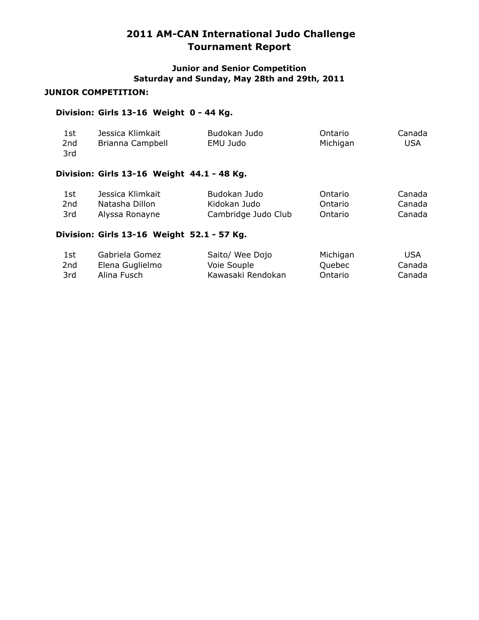## **Junior and Senior Competition Saturday and Sunday, May 28th and 29th, 2011**

### **JUNIOR COMPETITION:**

### **Division: Girls 13-16 Weight 0 - 44 Kg.**

|  | 1st<br>2nd<br>3rd | Jessica Klimkait<br>Brianna Campbell | Budokan Judo<br>EMU Judo | Ontario<br>Michigan | Canada<br>USA |
|--|-------------------|--------------------------------------|--------------------------|---------------------|---------------|
|--|-------------------|--------------------------------------|--------------------------|---------------------|---------------|

# **Division: Girls 13-16 Weight 44.1 - 48 Kg.**

| 1st. | Jessica Klimkait | Budokan Judo        | Ontario | Canada |
|------|------------------|---------------------|---------|--------|
| 2nd  | Natasha Dillon   | Kidokan Judo        | Ontario | Canada |
| 3rd  | Alyssa Ronayne   | Cambridge Judo Club | Ontario | Canada |

## **Division: Girls 13-16 Weight 52.1 - 57 Kg.**

| 1st             | Gabriela Gomez  | Saito/ Wee Dojo   | Michigan | USA    |
|-----------------|-----------------|-------------------|----------|--------|
| 2 <sub>nd</sub> | Elena Guglielmo | Voie Souple       | Quebec   | Canada |
| 3rd             | Alina Fusch     | Kawasaki Rendokan | Ontario  | Canada |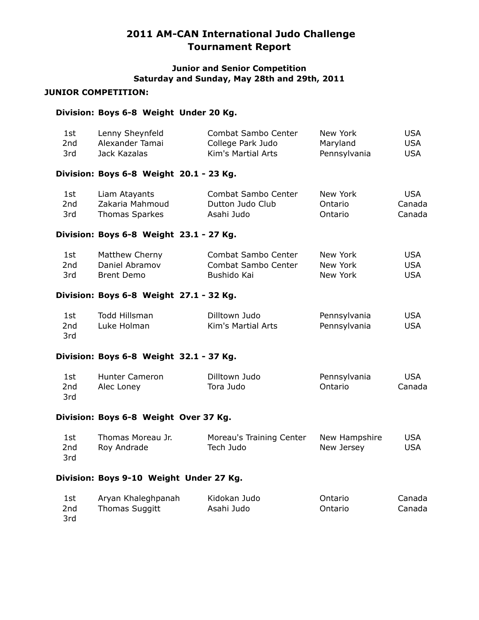## **Junior and Senior Competition Saturday and Sunday, May 28th and 29th, 2011**

## **JUNIOR COMPETITION:**

3rd

## **Division: Boys 6-8 Weight Under 20 Kg.**

| 1st<br>2nd<br>3rd      | Lenny Sheynfeld<br>Alexander Tamai<br>Jack Kazalas        | Combat Sambo Center<br>College Park Judo<br>Kim's Martial Arts | New York<br>Maryland<br>Pennsylvania | <b>USA</b><br><b>USA</b><br><b>USA</b> |
|------------------------|-----------------------------------------------------------|----------------------------------------------------------------|--------------------------------------|----------------------------------------|
|                        | Division: Boys 6-8 Weight 20.1 - 23 Kg.                   |                                                                |                                      |                                        |
| 1st<br>2nd<br>3rd      | Liam Atayants<br>Zakaria Mahmoud<br><b>Thomas Sparkes</b> | Combat Sambo Center<br>Dutton Judo Club<br>Asahi Judo          | New York<br>Ontario<br>Ontario       | <b>USA</b><br>Canada<br>Canada         |
|                        | Division: Boys 6-8 Weight 23.1 - 27 Kg.                   |                                                                |                                      |                                        |
| 1st<br>2nd<br>3rd      | Matthew Cherny<br>Daniel Abramov<br><b>Brent Demo</b>     | Combat Sambo Center<br>Combat Sambo Center<br>Bushido Kai      | New York<br>New York<br>New York     | <b>USA</b><br><b>USA</b><br><b>USA</b> |
|                        | Division: Boys 6-8 Weight 27.1 - 32 Kg.                   |                                                                |                                      |                                        |
| 1st<br>2nd<br>3rd      | Todd Hillsman<br>Luke Holman                              | Dilltown Judo<br>Kim's Martial Arts                            | Pennsylvania<br>Pennsylvania         | <b>USA</b><br><b>USA</b>               |
|                        | Division: Boys 6-8 Weight 32.1 - 37 Kg.                   |                                                                |                                      |                                        |
| 1st<br>2nd<br>3rd      | <b>Hunter Cameron</b><br>Alec Loney                       | Dilltown Judo<br>Tora Judo                                     | Pennsylvania<br>Ontario              | <b>USA</b><br>Canada                   |
|                        | Division: Boys 6-8 Weight Over 37 Kg.                     |                                                                |                                      |                                        |
| 1st<br>2nd<br>3rd      | Thomas Moreau Jr.<br>Roy Andrade                          | Moreau's Training Center<br>Tech Judo                          | New Hampshire<br>New Jersey          | <b>USA</b><br><b>USA</b>               |
|                        | Division: Boys 9-10 Weight Under 27 Kg.                   |                                                                |                                      |                                        |
| 1st<br>2 <sub>nd</sub> | Aryan Khaleghpanah<br><b>Thomas Suggitt</b>               | Kidokan Judo<br>Asahi Judo                                     | Ontario<br>Ontario                   | Canada<br>Canada                       |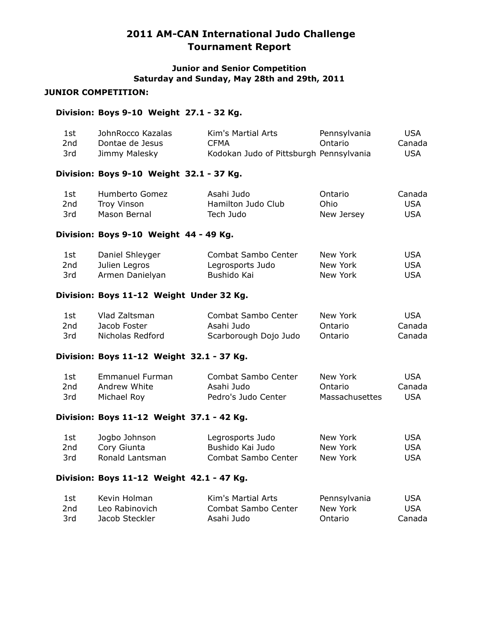### **Junior and Senior Competition Saturday and Sunday, May 28th and 29th, 2011**

### **JUNIOR COMPETITION:**

### **Division: Boys 9-10 Weight 27.1 - 32 Kg.**

| 1st             | JohnRocco Kazalas | Kim's Martial Arts                      | Pennsylvania | <b>USA</b> |
|-----------------|-------------------|-----------------------------------------|--------------|------------|
| 2 <sub>nd</sub> | Dontae de Jesus   | <b>CFMA</b>                             | Ontario      | Canada     |
| 3rd             | Jimmy Malesky     | Kodokan Judo of Pittsburgh Pennsylvania |              | <b>USA</b> |

### **Division: Boys 9-10 Weight 32.1 - 37 Kg.**

| 1st             | Humberto Gomez | Asahi Judo         | Ontario    | Canada |
|-----------------|----------------|--------------------|------------|--------|
| 2 <sub>nd</sub> | Troy Vinson    | Hamilton Judo Club | Ohio       | USA    |
| 3rd             | Mason Bernal   | Tech Judo          | New Jersey | USA    |

### **Division: Boys 9-10 Weight 44 - 49 Kg.**

| 1st | Daniel Shleyger | Combat Sambo Center | New York | USA  |
|-----|-----------------|---------------------|----------|------|
| 2nd | Julien Legros   | Legrosports Judo    | New York | USA  |
| 3rd | Armen Danielyan | Bushido Kai         | New York | USA. |

#### **Division: Boys 11-12 Weight Under 32 Kg.**

| 1st | Vlad Zaltsman    | Combat Sambo Center   | New York | USA    |
|-----|------------------|-----------------------|----------|--------|
| 2nd | Jacob Foster     | Asahi Judo            | Ontario  | Canada |
| 3rd | Nicholas Redford | Scarborough Dojo Judo | Ontario  | Canada |

#### **Division: Boys 11-12 Weight 32.1 - 37 Kg.**

| 1st | Emmanuel Furman | Combat Sambo Center | New York       | USA    |
|-----|-----------------|---------------------|----------------|--------|
| 2nd | Andrew White    | Asahi Judo          | Ontario        | Canada |
| 3rd | Michael Rov     | Pedro's Judo Center | Massachusettes | USA    |

#### **Division: Boys 11-12 Weight 37.1 - 42 Kg.**

| 1st | Jogbo Johnson   | Legrosports Judo    | New York | USA |
|-----|-----------------|---------------------|----------|-----|
| 2nd | Cory Giunta     | Bushido Kai Judo    | New York | USA |
| 3rd | Ronald Lantsman | Combat Sambo Center | New York | USA |

### **Division: Boys 11-12 Weight 42.1 - 47 Kg.**

| 1st | Kevin Holman   | Kim's Martial Arts  | Pennsylvania | USA    |
|-----|----------------|---------------------|--------------|--------|
| 2nd | Leo Rabinovich | Combat Sambo Center | New York     | USA    |
| 3rd | Jacob Steckler | Asahi Judo          | Ontario      | Canada |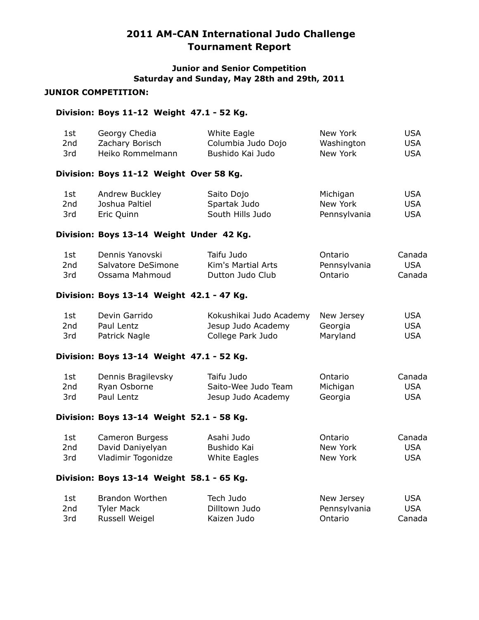### **Junior and Senior Competition Saturday and Sunday, May 28th and 29th, 2011**

### **JUNIOR COMPETITION:**

### **Division: Boys 11-12 Weight 47.1 - 52 Kg.**

| 1st<br>2nd<br>3rd | Georgy Chedia<br>Zachary Borisch<br>Heiko Rommelmann | White Eagle<br>Columbia Judo Dojo<br>Bushido Kai Judo | New York<br>Washington<br>New York | USA<br><b>USA</b><br><b>USA</b> |
|-------------------|------------------------------------------------------|-------------------------------------------------------|------------------------------------|---------------------------------|
|                   | Division: Boys 11-12 Weight Over 58 Kg.              |                                                       |                                    |                                 |
| 1st               | Andrew Buckley                                       | Saito Dojo                                            | Michigan                           | USA                             |
| 2nd               | Joshua Paltiel                                       | Spartak Judo                                          | New York                           | <b>USA</b>                      |
| 3rd               | Eric Quinn                                           | South Hills Judo                                      | Pennsylvania                       | <b>USA</b>                      |
|                   | Division: Boys 13-14 Weight Under 42 Kg.             |                                                       |                                    |                                 |
| $1 - 1$           | Demote Venesselst                                    | $T = 1000 - 1000$                                     | $\bigcap_{x=1}^{n}$                | $C - - - - -$                   |

| 1st | Dennis Yanovski    | Taifu Judo         | Ontario      | Canada     |
|-----|--------------------|--------------------|--------------|------------|
| 2nd | Salvatore DeSimone | Kim's Martial Arts | Pennsylvania | <b>USA</b> |
| 3rd | Ossama Mahmoud     | Dutton Judo Club   | Ontario      | Canada     |

## **Division: Boys 13-14 Weight 42.1 - 47 Kg.**

| 1st | Devin Garrido | Kokushikai Judo Academy New Jersey |          | USA |
|-----|---------------|------------------------------------|----------|-----|
| 2nd | Paul Lentz    | Jesup Judo Academy                 | Georgia  | USA |
| 3rd | Patrick Nagle | College Park Judo                  | Maryland | USA |

# **Division: Boys 13-14 Weight 47.1 - 52 Kg.**

| 1st | Dennis Bragilevsky | Taifu Judo          | Ontario  | Canada     |
|-----|--------------------|---------------------|----------|------------|
| 2nd | Ryan Osborne       | Saito-Wee Judo Team | Michigan | <b>USA</b> |
| 3rd | Paul Lentz         | Jesup Judo Academy  | Georgia  | USA        |

#### **Division: Boys 13-14 Weight 52.1 - 58 Kg.**

| 1st             | Cameron Burgess    | Asahi Judo   | Ontario  | Canada     |
|-----------------|--------------------|--------------|----------|------------|
| 2 <sub>nd</sub> | David Daniyelyan   | Bushido Kai  | New York | <b>USA</b> |
| 3rd             | Vladimir Togonidze | White Eagles | New York | <b>USA</b> |

## **Division: Boys 13-14 Weight 58.1 - 65 Kg.**

| 1st | Brandon Worthen | Tech Judo     | New Jersey   | USA        |
|-----|-----------------|---------------|--------------|------------|
| 2nd | Tyler Mack      | Dilltown Judo | Pennsylvania | <b>USA</b> |
| 3rd | Russell Weigel  | Kaizen Judo   | Ontario      | Canada     |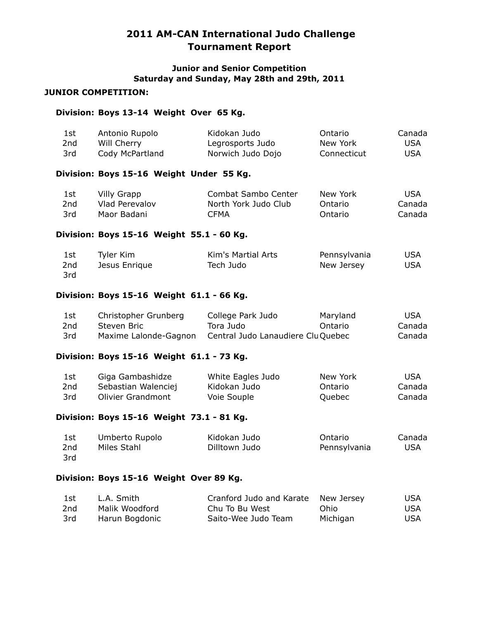## **Junior and Senior Competition Saturday and Sunday, May 28th and 29th, 2011**

## **JUNIOR COMPETITION:**

## **Division: Boys 13-14 Weight Over 65 Kg.**

| 1st<br>2 <sub>nd</sub><br>3rd | Antonio Rupolo<br>Will Cherry<br>Cody McPartland                    | Kidokan Judo<br>Legrosports Judo<br>Norwich Judo Dojo                | Ontario<br>New York<br>Connecticut | Canada<br><b>USA</b><br><b>USA</b> |
|-------------------------------|---------------------------------------------------------------------|----------------------------------------------------------------------|------------------------------------|------------------------------------|
|                               | Division: Boys 15-16 Weight Under 55 Kg.                            |                                                                      |                                    |                                    |
| 1st<br>2nd<br>3rd             | <b>Villy Grapp</b><br>Vlad Perevalov<br>Maor Badani                 | Combat Sambo Center<br>North York Judo Club<br><b>CFMA</b>           | New York<br>Ontario<br>Ontario     | <b>USA</b><br>Canada<br>Canada     |
|                               | Division: Boys 15-16 Weight 55.1 - 60 Kg.                           |                                                                      |                                    |                                    |
| 1st<br>2nd<br>3rd             | Tyler Kim<br>Jesus Enrique                                          | Kim's Martial Arts<br>Tech Judo                                      | Pennsylvania<br>New Jersey         | <b>USA</b><br><b>USA</b>           |
|                               | Division: Boys 15-16 Weight 61.1 - 66 Kg.                           |                                                                      |                                    |                                    |
| 1st<br>2nd<br>3rd             | Christopher Grunberg<br>Steven Bric<br>Maxime Lalonde-Gagnon        | College Park Judo<br>Tora Judo<br>Central Judo Lanaudiere Clu Quebec | Maryland<br>Ontario                | <b>USA</b><br>Canada<br>Canada     |
|                               | Division: Boys 15-16 Weight 61.1 - 73 Kg.                           |                                                                      |                                    |                                    |
| 1st<br>2nd<br>3rd             | Giga Gambashidze<br>Sebastian Walenciej<br><b>Olivier Grandmont</b> | White Eagles Judo<br>Kidokan Judo<br>Voie Souple                     | New York<br>Ontario<br>Quebec      | <b>USA</b><br>Canada<br>Canada     |
|                               | Division: Bovs 15-16 Weight 73.1 - 81 Kg.                           |                                                                      |                                    |                                    |

# **Division: Boys 15-16 Weight 73.1 - 81 Kg.**

| 1st | Umberto Rupolo | Kidokan Judo  | Ontario      | Canada |
|-----|----------------|---------------|--------------|--------|
| 2nd | Miles Stahl    | Dilltown Judo | Pennsylvania | USA    |
| 3rd |                |               |              |        |

## **Division: Boys 15-16 Weight Over 89 Kg.**

| 1st | L.A. Smith     | Cranford Judo and Karate New Jersey |          | USA |
|-----|----------------|-------------------------------------|----------|-----|
| 2nd | Malik Woodford | Chu To Bu West                      | Ohio     | USA |
| 3rd | Harun Bogdonic | Saito-Wee Judo Team                 | Michigan | USA |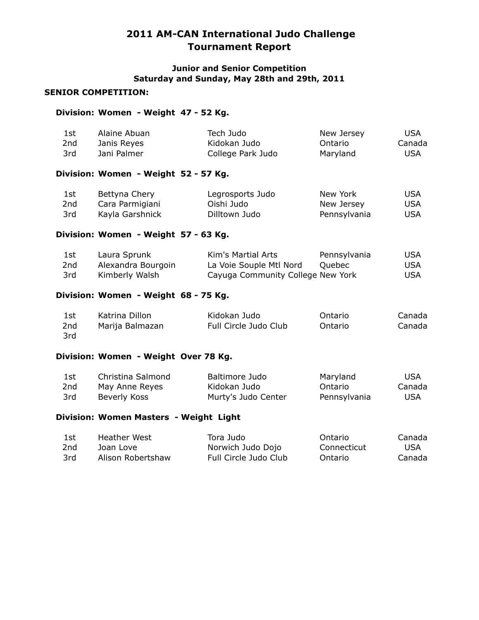### **Junior and Senior Competition Saturday and Sunday, May 28th and 29th, 2011**

### **SENIOR COMPETITION:**

#### **Division: Women - Weight 47 - 52 Kg.**

| 1st             | Alaine Abuan                         | Tech Judo         | New Jersey   | <b>USA</b> |
|-----------------|--------------------------------------|-------------------|--------------|------------|
| 2 <sub>nd</sub> | Janis Reyes                          | Kidokan Judo      | Ontario      | Canada     |
| 3rd             | Jani Palmer                          | College Park Judo | Maryland     | <b>USA</b> |
|                 | Division: Women - Weight 52 - 57 Kg. |                   |              |            |
| 1st             | Bettyna Chery                        | Legrosports Judo  | New York     | USA        |
| 2 <sub>nd</sub> | Cara Parmigiani                      | Oishi Judo        | New Jersey   | <b>USA</b> |
| 3rd             | Kayla Garshnick                      | Dilltown Judo     | Pennsylvania | <b>USA</b> |

#### **Division: Women - Weight 57 - 63 Kg.**

| 1st. | Laura Sprunk       | Kim's Martial Arts                | Pennsylvania | USA. |
|------|--------------------|-----------------------------------|--------------|------|
| 2nd  | Alexandra Bourgoin | La Voie Souple Mtl Nord           | Ouebec       | USA. |
| 3rd  | Kimberly Walsh     | Cayuga Community College New York |              | USA. |

#### **Division: Women - Weight 68 - 75 Kg.**

| 1st | Katrina Dillon  | Kidokan Judo          | Ontario | Canada |
|-----|-----------------|-----------------------|---------|--------|
| 2nd | Marija Balmazan | Full Circle Judo Club | Ontario | Canada |
| 3rd |                 |                       |         |        |

#### **Division: Women - Weight Over 78 Kg.**

| 1st | Christina Salmond | Baltimore Judo      | Maryland     | <b>USA</b> |
|-----|-------------------|---------------------|--------------|------------|
| 2nd | May Anne Reyes    | Kidokan Judo        | Ontario      | Canada     |
| 3rd | Beverly Koss      | Murty's Judo Center | Pennsylvania | <b>USA</b> |

#### **Division: Women Masters - Weight Light**

| 1st | Heather West      | Tora Judo             | Ontario     | Canada |
|-----|-------------------|-----------------------|-------------|--------|
| 2nd | Joan Love         | Norwich Judo Dojo     | Connecticut | USA    |
| 3rd | Alison Robertshaw | Full Circle Judo Club | Ontario     | Canada |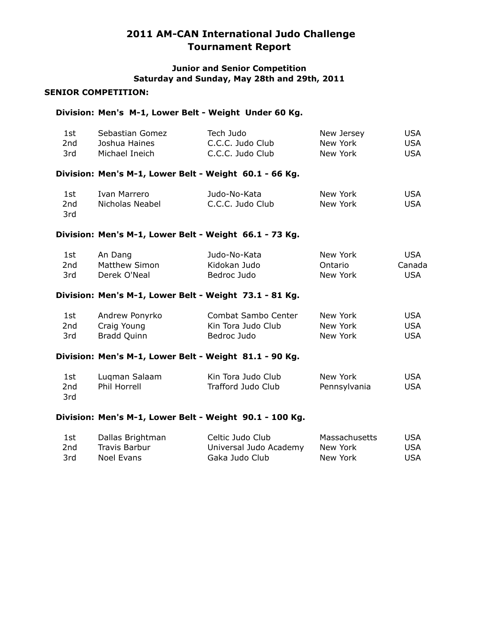### **Junior and Senior Competition Saturday and Sunday, May 28th and 29th, 2011**

#### **SENIOR COMPETITION:**

#### **Division: Men's M-1, Lower Belt - Weight Under 60 Kg.**

| 1st  | Sebastian Gomez | Tech Judo        | New Jersey | USA |
|------|-----------------|------------------|------------|-----|
| 2nd  | Joshua Haines   | C.C.C. Judo Club | New York   | USA |
| -3rd | Michael Ineich  | C.C.C. Judo Club | New York   | USA |

#### **Division: Men's M-1, Lower Belt - Weight 60.1 - 66 Kg.**

| 1st | Ivan Marrero    | Judo-No-Kata     | New York | USA |
|-----|-----------------|------------------|----------|-----|
| 2nd | Nicholas Neabel | C.C.C. Judo Club | New York | USA |
| 3rd |                 |                  |          |     |

#### **Division: Men's M-1, Lower Belt - Weight 66.1 - 73 Kg.**

| 1st | An Dang       | Judo-No-Kata | New York | USA    |
|-----|---------------|--------------|----------|--------|
| 2nd | Matthew Simon | Kidokan Judo | Ontario  | Canada |
| 3rd | Derek O'Neal  | Bedroc Judo  | New York | USA    |

#### **Division: Men's M-1, Lower Belt - Weight 73.1 - 81 Kg.**

| 1st | Andrew Ponyrko | Combat Sambo Center | New York | USA |
|-----|----------------|---------------------|----------|-----|
| 2nd | Craig Young    | Kin Tora Judo Club  | New York | USA |
| 3rd | Bradd Quinn    | Bedroc Judo         | New York | USA |

#### **Division: Men's M-1, Lower Belt - Weight 81.1 - 90 Kg.**

| 1st | Lugman Salaam | Kin Tora Judo Club | New York     | <b>USA</b> |
|-----|---------------|--------------------|--------------|------------|
| 2nd | Phil Horrell  | Trafford Judo Club | Pennsylvania | <b>USA</b> |
| 3rd |               |                    |              |            |

#### **Division: Men's M-1, Lower Belt - Weight 90.1 - 100 Kg.**

| 1st | Dallas Brightman | Celtic Judo Club       | Massachusetts | USA        |
|-----|------------------|------------------------|---------------|------------|
| 2nd | Travis Barbur    | Universal Judo Academy | New York      | <b>USA</b> |
| 3rd | Noel Evans       | Gaka Judo Club         | New York      | USA        |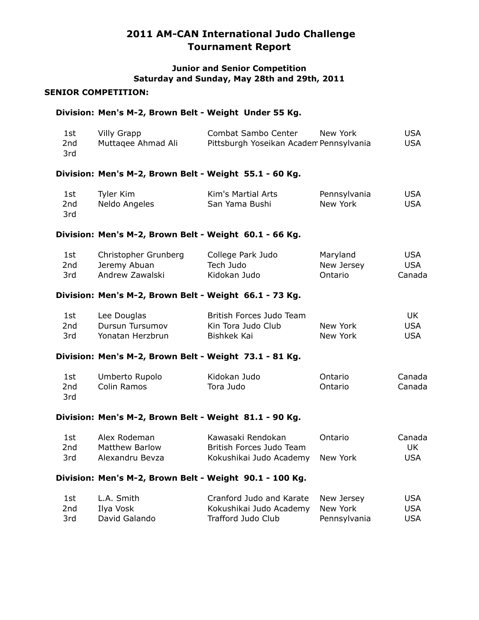## **Junior and Senior Competition Saturday and Sunday, May 28th and 29th, 2011**

### **SENIOR COMPETITION:**

#### **Division: Men's M-2, Brown Belt - Weight Under 55 Kg.**

|                   | Division: Men's M-2, Brown Belt - Weight 73.1 - 81 Kg.  |                                                                |                                   |                                 |
|-------------------|---------------------------------------------------------|----------------------------------------------------------------|-----------------------------------|---------------------------------|
| 1st<br>2nd<br>3rd | Lee Douglas<br>Dursun Tursumov<br>Yonatan Herzbrun      | British Forces Judo Team<br>Kin Tora Judo Club<br>Bishkek Kai  | New York<br>New York              | UK.<br><b>USA</b><br><b>USA</b> |
|                   | Division: Men's M-2, Brown Belt - Weight 66.1 - 73 Kg.  |                                                                |                                   |                                 |
| 1st<br>2nd<br>3rd | Christopher Grunberg<br>Jeremy Abuan<br>Andrew Zawalski | College Park Judo<br>Tech Judo<br>Kidokan Judo                 | Maryland<br>New Jersey<br>Ontario | USA<br><b>USA</b><br>Canada     |
|                   | Division: Men's M-2, Brown Belt - Weight 60.1 - 66 Kg.  |                                                                |                                   |                                 |
| 1st<br>2nd<br>3rd | Tyler Kim<br>Neldo Angeles                              | Kim's Martial Arts<br>San Yama Bushi                           | Pennsylvania<br>New York          | USA<br><b>USA</b>               |
|                   | Division: Men's M-2, Brown Belt - Weight 55.1 - 60 Kg.  |                                                                |                                   |                                 |
| 1st<br>2nd<br>3rd | <b>Villy Grapp</b><br>Muttagee Ahmad Ali                | Combat Sambo Center<br>Pittsburgh Yoseikan Academ Pennsylvania | New York                          | <b>USA</b><br><b>USA</b>        |
|                   |                                                         |                                                                |                                   |                                 |

| 1st | Umberto Rupolo | Kidokan Judo | Ontario | Canada |
|-----|----------------|--------------|---------|--------|
| 2nd | Colin Ramos    | Tora Judo    | Ontario | Canada |
| 3rd |                |              |         |        |

#### **Division: Men's M-2, Brown Belt - Weight 81.1 - 90 Kg.**

| 1st | Alex Rodeman    | Kawasaki Rendokan                | Ontario | Canada |
|-----|-----------------|----------------------------------|---------|--------|
| 2nd | Matthew Barlow  | British Forces Judo Team         |         | UK     |
| 3rd | Alexandru Bevza | Kokushikai Judo Academy New York |         | USA    |

#### **Division: Men's M-2, Brown Belt - Weight 90.1 - 100 Kg.**

| 1st  | L.A. Smith    | Cranford Judo and Karate New Jersey |              | USA |
|------|---------------|-------------------------------------|--------------|-----|
| 2nd  | Ilva Vosk     | Kokushikai Judo Academy New York    |              | USA |
| -3rd | David Galando | Trafford Judo Club                  | Pennsylvania | USA |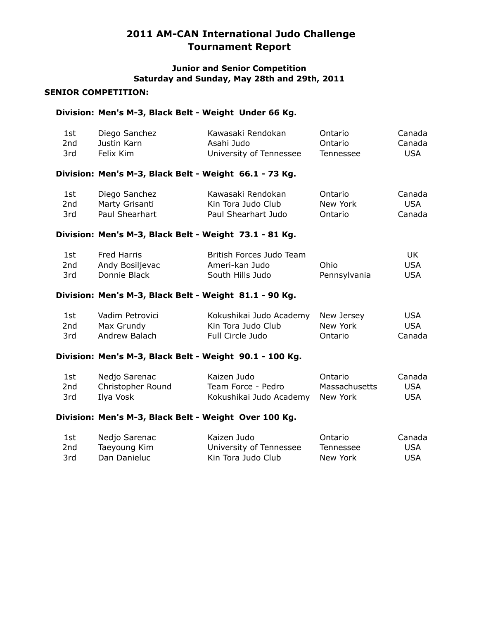### **Junior and Senior Competition Saturday and Sunday, May 28th and 29th, 2011**

#### **SENIOR COMPETITION:**

#### **Division: Men's M-3, Black Belt - Weight Under 66 Kg.**

| 1st | Diego Sanchez | Kawasaki Rendokan       | Ontario   | Canada |
|-----|---------------|-------------------------|-----------|--------|
| 2nd | Justin Karn   | Asahi Judo              | Ontario   | Canada |
| 3rd | Felix Kim     | University of Tennessee | Tennessee | USA    |

### **Division: Men's M-3, Black Belt - Weight 66.1 - 73 Kg.**

| 1st | Diego Sanchez  | Kawasaki Rendokan   | Ontario  | Canada |
|-----|----------------|---------------------|----------|--------|
| 2nd | Marty Grisanti | Kin Tora Judo Club  | New York | USA    |
| 3rd | Paul Shearhart | Paul Shearhart Judo | Ontario  | Canada |

### **Division: Men's M-3, Black Belt - Weight 73.1 - 81 Kg.**

| 1st. | Fred Harris     | British Forces Judo Team |              | UK   |
|------|-----------------|--------------------------|--------------|------|
| 2nd  | Andy Bosiljevac | Ameri-kan Judo           | Ohio         | USA  |
| 3rd  | Donnie Black    | South Hills Judo         | Pennsylvania | USA. |

#### **Division: Men's M-3, Black Belt - Weight 81.1 - 90 Kg.**

| 1st | Vadim Petrovici | Kokushikai Judo Academy New Jersey |          | <b>USA</b> |
|-----|-----------------|------------------------------------|----------|------------|
| 2nd | Max Grundy      | Kin Tora Judo Club                 | New York | USA.       |
| 3rd | Andrew Balach   | Full Circle Judo                   | Ontario  | Canada     |

#### **Division: Men's M-3, Black Belt - Weight 90.1 - 100 Kg.**

| 1st | Nedjo Sarenac     | Kaizen Judo                      | Ontario       | Canada |
|-----|-------------------|----------------------------------|---------------|--------|
| 2nd | Christopher Round | Team Force - Pedro               | Massachusetts | USA    |
| 3rd | Ilva Vosk         | Kokushikai Judo Academy New York |               | USA    |

#### **Division: Men's M-3, Black Belt - Weight Over 100 Kg.**

| 1st | Nedjo Sarenac | Kaizen Judo             | Ontario   | Canada |
|-----|---------------|-------------------------|-----------|--------|
| 2nd | Taeyoung Kim  | University of Tennessee | Tennessee | USA    |
| 3rd | Dan Danieluc  | Kin Tora Judo Club      | New York  | USA    |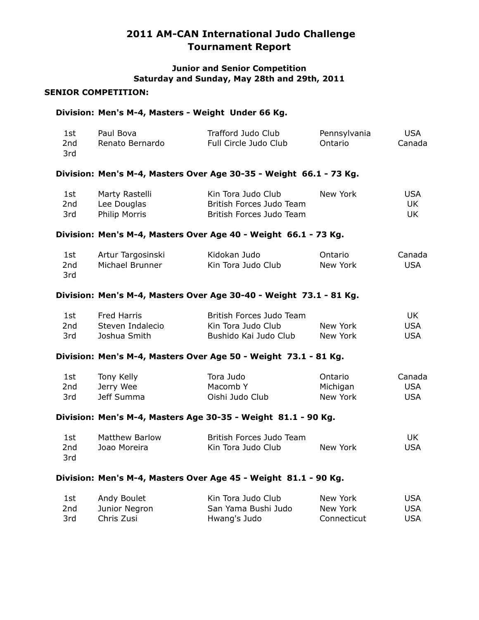### **Junior and Senior Competition Saturday and Sunday, May 28th and 29th, 2011**

#### **SENIOR COMPETITION:**

#### **Division: Men's M-4, Masters - Weight Under 66 Kg.**

| 1st | Paul Bova       | Trafford Judo Club    | Pennsylvania | USA    |
|-----|-----------------|-----------------------|--------------|--------|
| 2nd | Renato Bernardo | Full Circle Judo Club | Ontario      | Canada |
| 3rd |                 |                       |              |        |

#### **Division: Men's M-4, Masters Over Age 30-35 - Weight 66.1 - 73 Kg.**

| 1st | Marty Rastelli       | Kin Tora Judo Club       | New York | USA |
|-----|----------------------|--------------------------|----------|-----|
| 2nd | Lee Douglas          | British Forces Judo Team |          |     |
| 3rd | <b>Philip Morris</b> | British Forces Judo Team |          | UK  |

#### **Division: Men's M-4, Masters Over Age 40 - Weight 66.1 - 73 Kg.**

| 1st | Artur Targosinski | Kidokan Judo       | Ontario  | Canada |
|-----|-------------------|--------------------|----------|--------|
| 2nd | Michael Brunner   | Kin Tora Judo Club | New York | USA    |
| 3rd |                   |                    |          |        |

#### **Division: Men's M-4, Masters Over Age 30-40 - Weight 73.1 - 81 Kg.**

| 1st  | Fred Harris      | British Forces Judo Team |          | UK . |
|------|------------------|--------------------------|----------|------|
| 2nd  | Steven Indalecio | Kin Tora Judo Club       | New York | USA  |
| -3rd | Joshua Smith     | Bushido Kai Judo Club    | New York | USA  |

#### **Division: Men's M-4, Masters Over Age 50 - Weight 73.1 - 81 Kg.**

| Tony Kelly<br>1st | Tora Judo  | Ontario         | Canada   |     |
|-------------------|------------|-----------------|----------|-----|
| 2nd               | Jerry Wee  | Macomb Y        | Michigan | USA |
| 3rd               | Jeff Summa | Oishi Judo Club | New York | USA |

#### **Division: Men's M-4, Masters Age 30-35 - Weight 81.1 - 90 Kg.**

| 1st  | Matthew Barlow | British Forces Judo Team |          |      |
|------|----------------|--------------------------|----------|------|
| 2nd  | Joao Moreira   | Kin Tora Judo Club       | New York | USA. |
| -3rd |                |                          |          |      |

#### **Division: Men's M-4, Masters Over Age 45 - Weight 81.1 - 90 Kg.**

| 1st | Andy Boulet   | Kin Tora Judo Club  | New York    | USA |
|-----|---------------|---------------------|-------------|-----|
| 2nd | Junior Negron | San Yama Bushi Judo | New York    | USA |
| 3rd | Chris Zusi    | Hwang's Judo        | Connecticut | USA |